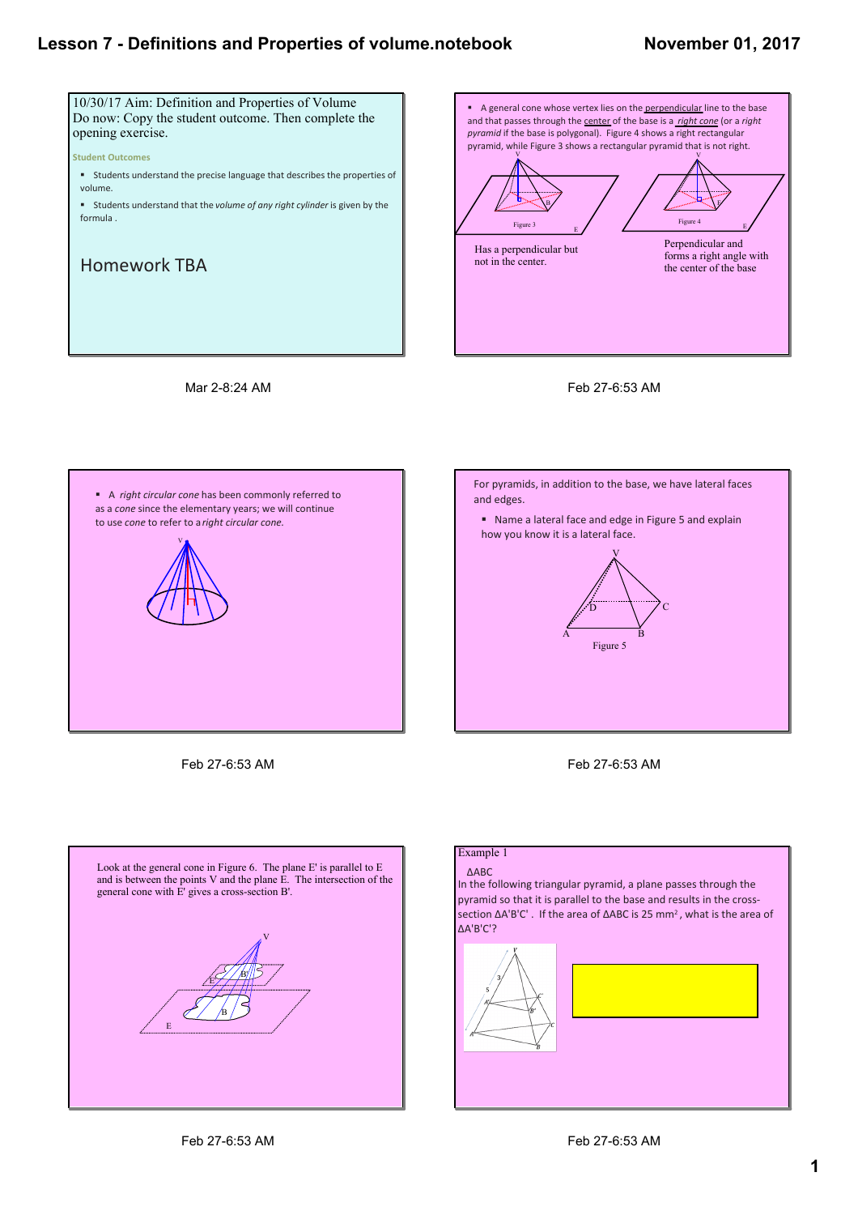#### **November 01, 2017**











Feb 27-6:53 AM





#### Example 1

ΔABC

In the following triangular pyramid, a plane passes through the pyramid so that it is parallel to the base and results in the cross‐ section ΔA'B'C'. If the area of ΔABC is 25 mm<sup>2</sup>, what is the area of ΔA'B'C'?

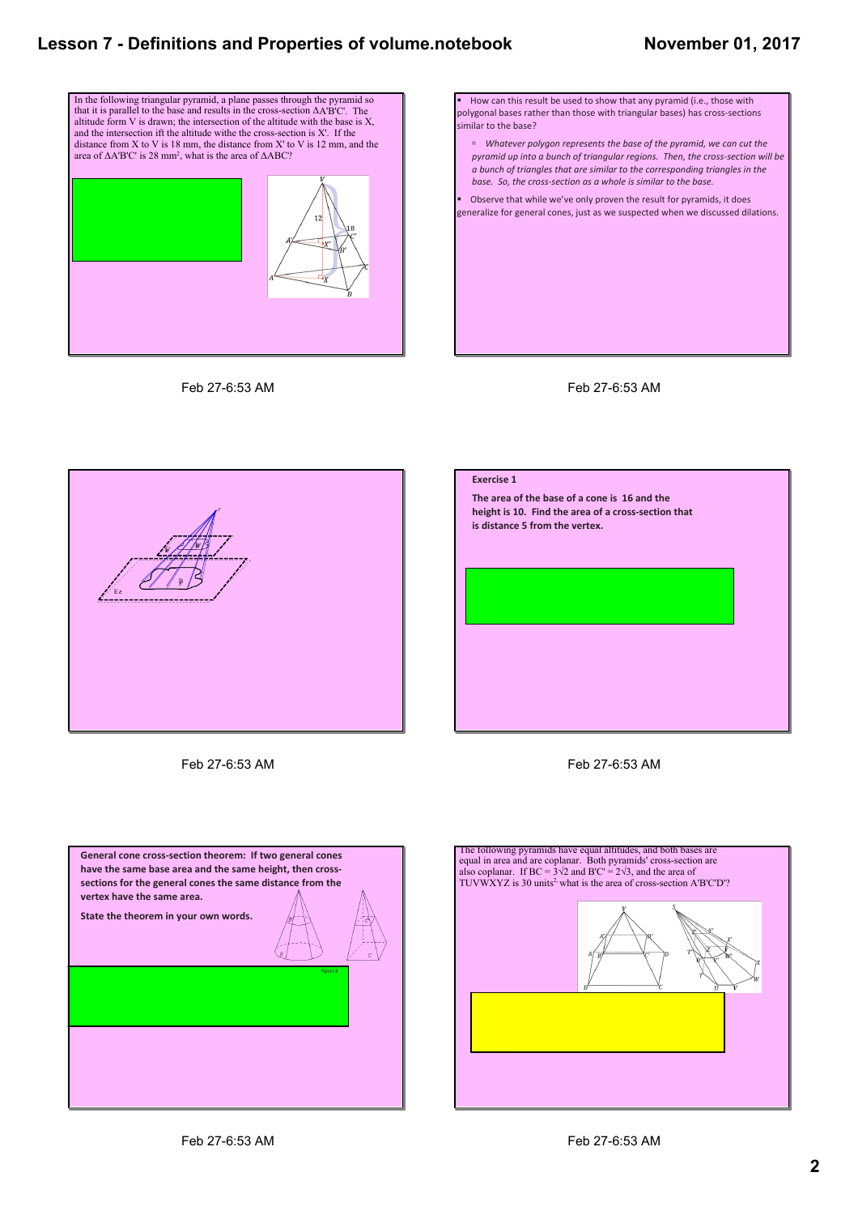#### **November 01, 2017**



Feb 27-6:53 AM







Feb 27-6:53 AM





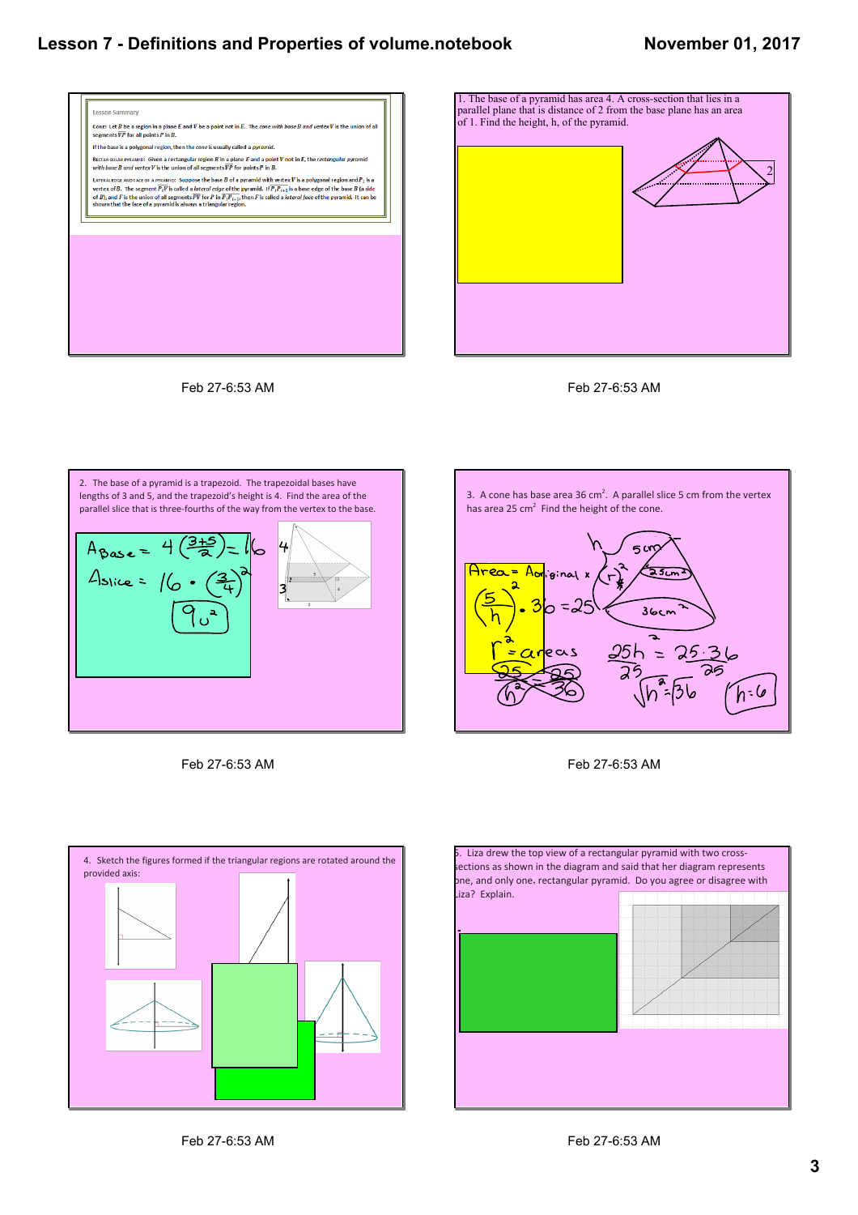#### **November 01, 2017**







3. A cone has base area 36  $cm<sup>2</sup>$ . A parallel slice 5 cm from the vertex

 $\mathbf{r}$ 

 $500$ 

 $25<sub>cr</sub>$ 

 $36cm$ 

25h = 25

has area 25 cm<sup>2</sup> Find the height of the cone.

ginal x

 $=25$ ∍

*Let be the cone's height in centimeters.*

*The cone has height* **.**



Feb 27-6:53 AM



Feb 27-6:53 AM

4. Sketch the figures formed if the triangular regions are rotated around the provided axis: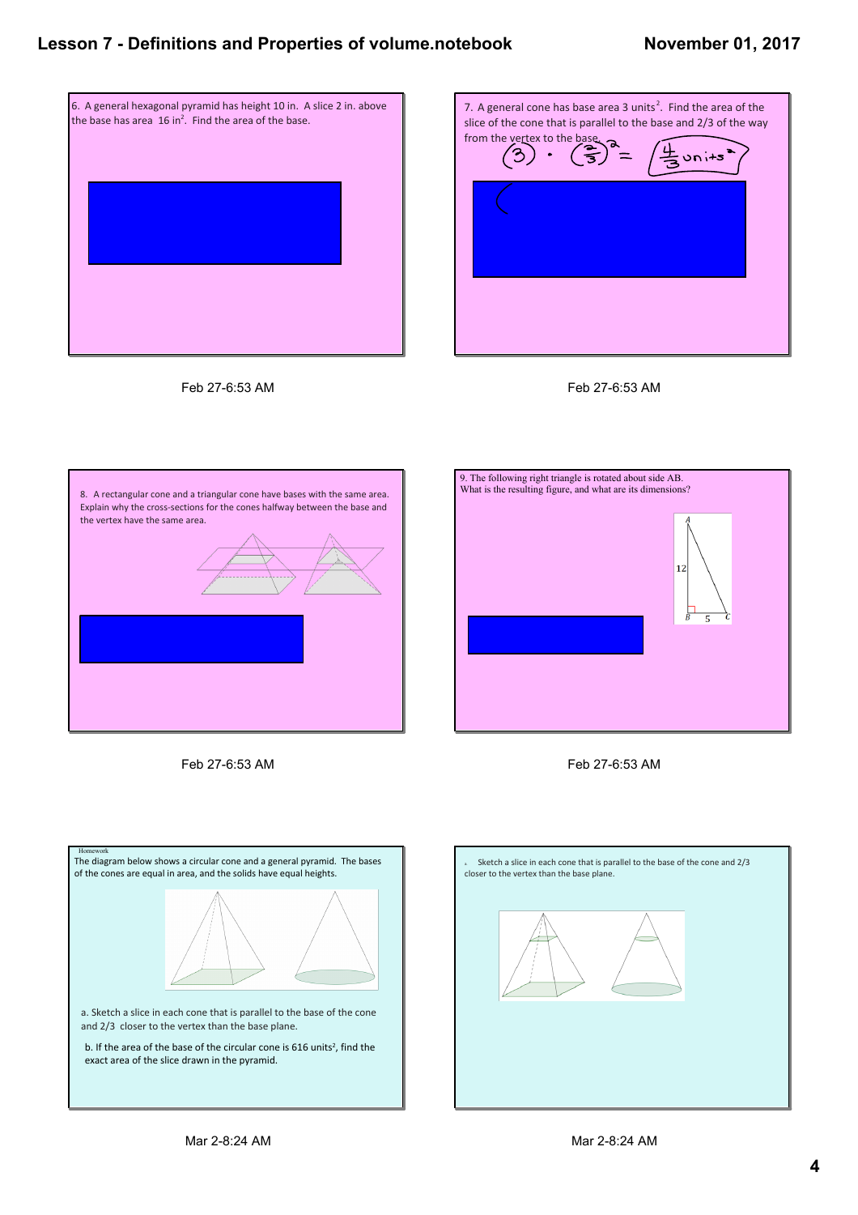#### **November 01, 2017**











Feb 27-6:53 AM





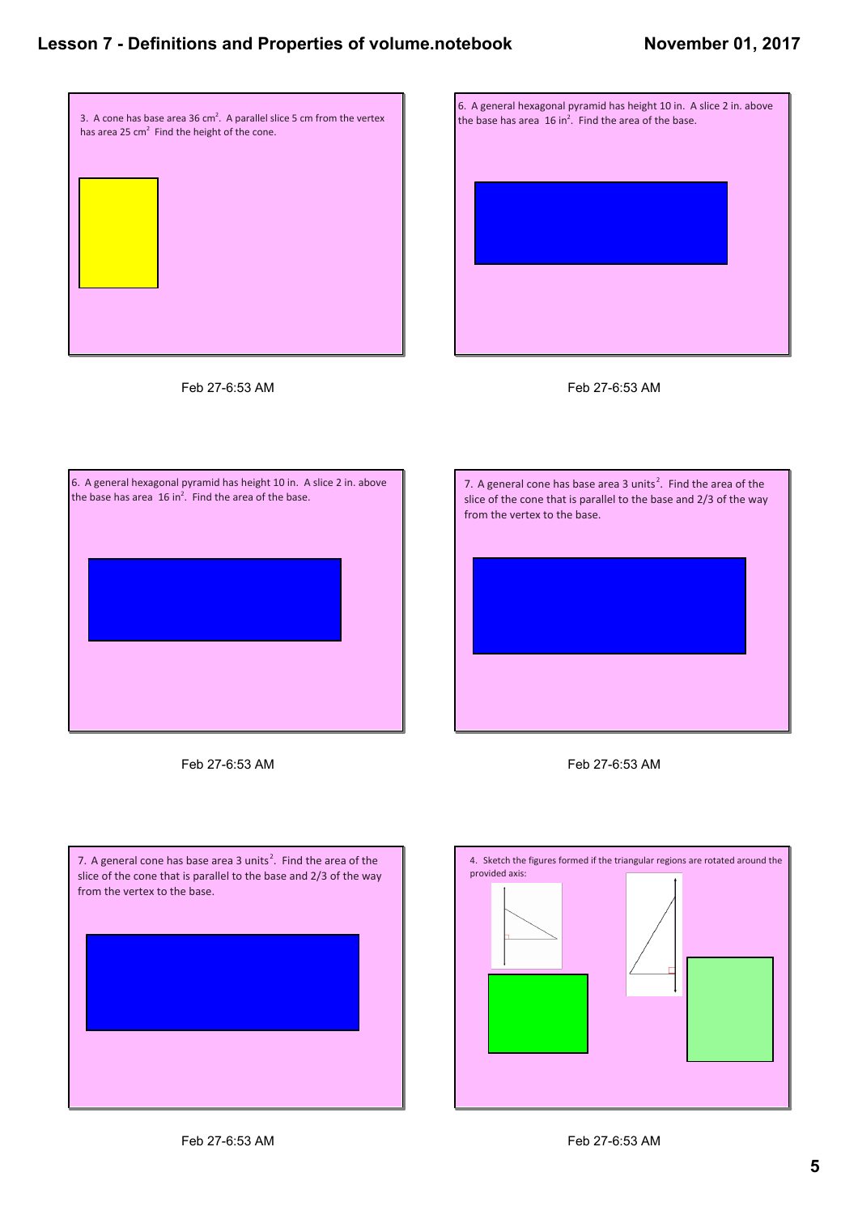## **November 01, 2017**











Feb 27-6:53 AM





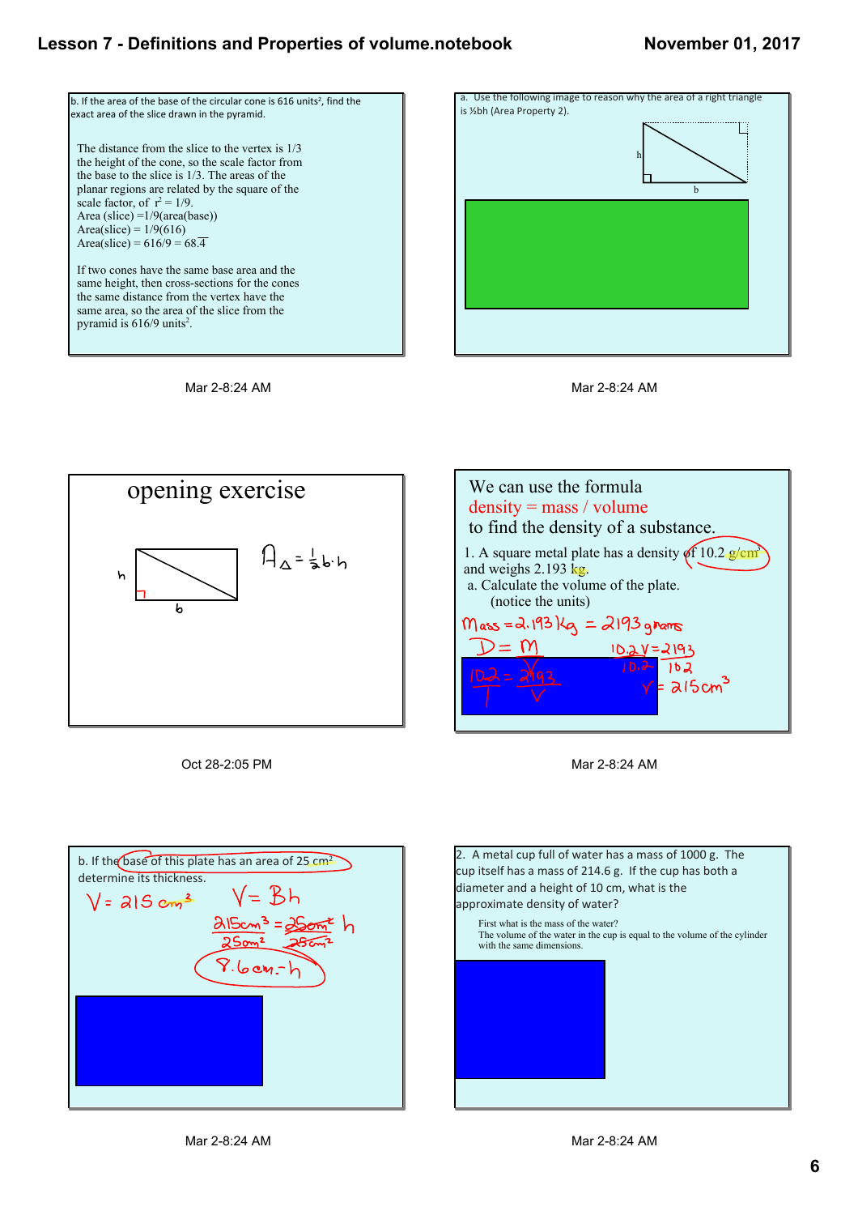#### **November 01, 2017**











Oct 28-2:05 PM



Mar 2-8:24 AM



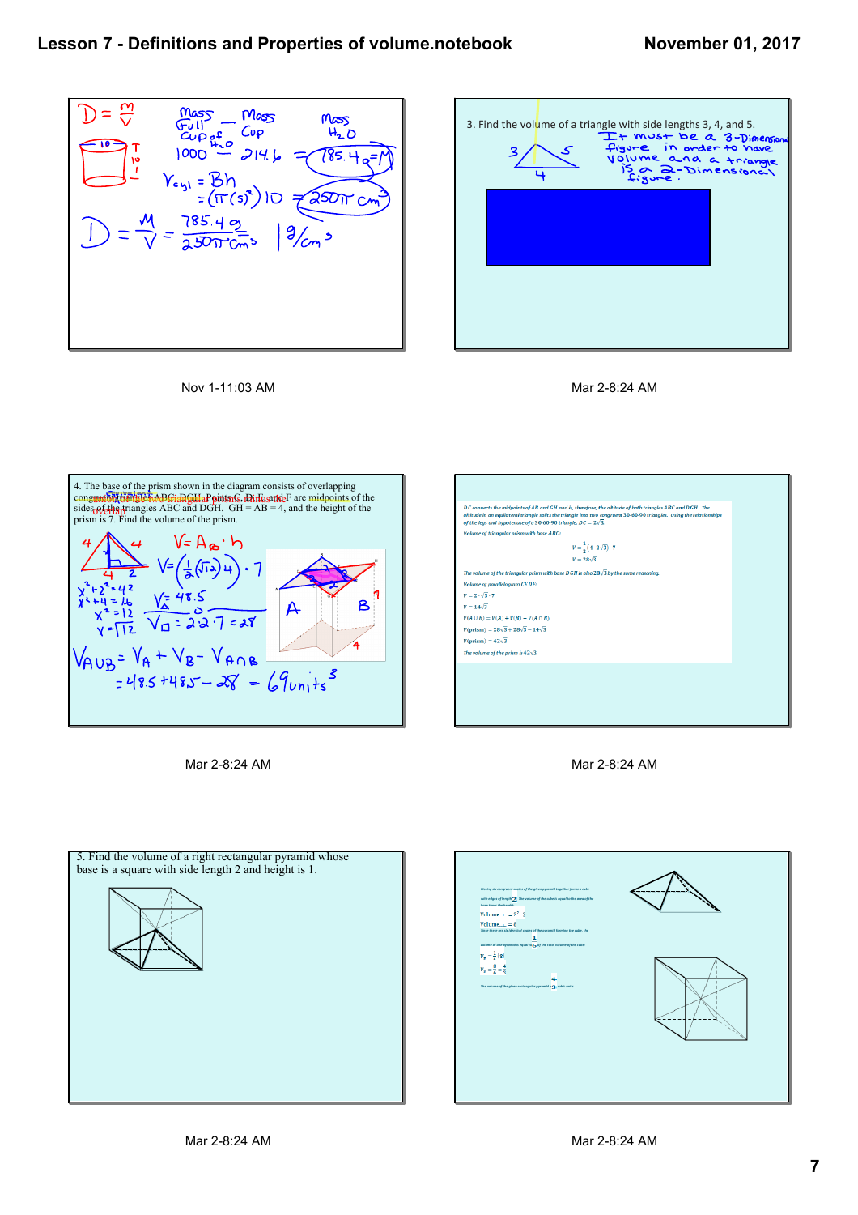









Mar 2-8:24 AM